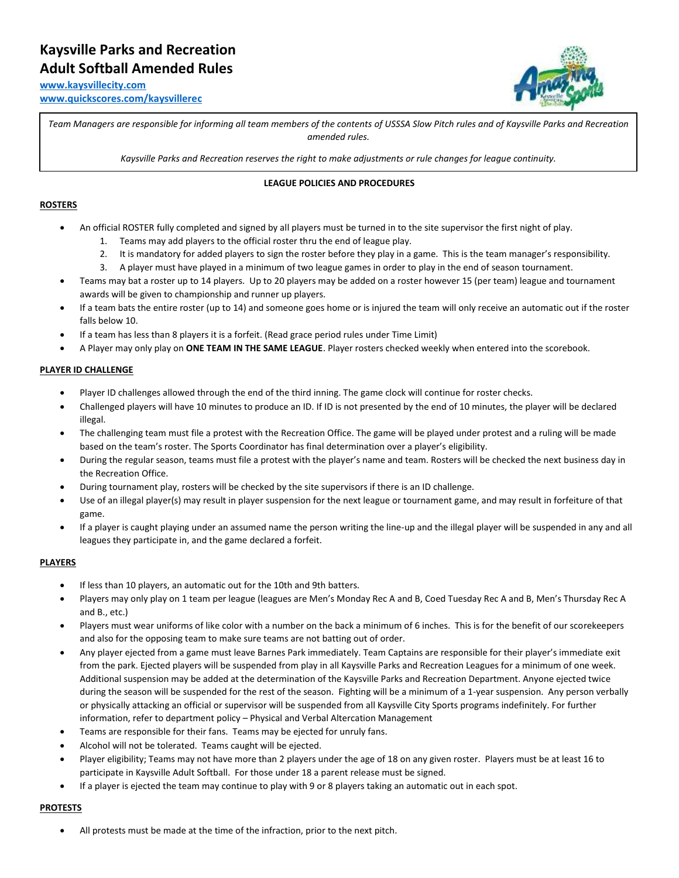# **Kaysville Parks and Recreation Adult Softball Amended Rules**

**[www.kaysvillecity.com](http://www.kaysvillecity.com/) [www.quickscores.com/kaysvillerec](http://www.quickscores.com/kaysvillerec)**



*Team Managers are responsible for informing all team members of the contents of USSSA Slow Pitch rules and of Kaysville Parks and Recreation amended rules.*

*Kaysville Parks and Recreation reserves the right to make adjustments or rule changes for league continuity.*

# **LEAGUE POLICIES AND PROCEDURES**

## **ROSTERS**

- An official ROSTER fully completed and signed by all players must be turned in to the site supervisor the first night of play.
	- 1. Teams may add players to the official roster thru the end of league play.
	- 2. It is mandatory for added players to sign the roster before they play in a game. This is the team manager's responsibility.
	- 3. A player must have played in a minimum of two league games in order to play in the end of season tournament.
- Teams may bat a roster up to 14 players. Up to 20 players may be added on a roster however 15 (per team) league and tournament awards will be given to championship and runner up players.
- If a team bats the entire roster (up to 14) and someone goes home or is injured the team will only receive an automatic out if the roster falls below 10.
- If a team has less than 8 players it is a forfeit. (Read grace period rules under Time Limit)
- A Player may only play on **ONE TEAM IN THE SAME LEAGUE**. Player rosters checked weekly when entered into the scorebook.

## **PLAYER ID CHALLENGE**

- Player ID challenges allowed through the end of the third inning. The game clock will continue for roster checks.
- Challenged players will have 10 minutes to produce an ID. If ID is not presented by the end of 10 minutes, the player will be declared illegal.
- The challenging team must file a protest with the Recreation Office. The game will be played under protest and a ruling will be made based on the team's roster. The Sports Coordinator has final determination over a player's eligibility.
- During the regular season, teams must file a protest with the player's name and team. Rosters will be checked the next business day in the Recreation Office.
- During tournament play, rosters will be checked by the site supervisors if there is an ID challenge.
- Use of an illegal player(s) may result in player suspension for the next league or tournament game, and may result in forfeiture of that game.
- If a player is caught playing under an assumed name the person writing the line-up and the illegal player will be suspended in any and all leagues they participate in, and the game declared a forfeit.

## **PLAYERS**

- If less than 10 players, an automatic out for the 10th and 9th batters.
- Players may only play on 1 team per league (leagues are Men's Monday Rec A and B, Coed Tuesday Rec A and B, Men's Thursday Rec A and B., etc.)
- Players must wear uniforms of like color with a number on the back a minimum of 6 inches. This is for the benefit of our scorekeepers and also for the opposing team to make sure teams are not batting out of order.
- Any player ejected from a game must leave Barnes Park immediately. Team Captains are responsible for their player's immediate exit from the park. Ejected players will be suspended from play in all Kaysville Parks and Recreation Leagues for a minimum of one week. Additional suspension may be added at the determination of the Kaysville Parks and Recreation Department. Anyone ejected twice during the season will be suspended for the rest of the season. Fighting will be a minimum of a 1-year suspension. Any person verbally or physically attacking an official or supervisor will be suspended from all Kaysville City Sports programs indefinitely. For further information, refer to department policy – Physical and Verbal Altercation Management
- Teams are responsible for their fans. Teams may be ejected for unruly fans.
- Alcohol will not be tolerated. Teams caught will be ejected.
- Player eligibility; Teams may not have more than 2 players under the age of 18 on any given roster. Players must be at least 16 to participate in Kaysville Adult Softball. For those under 18 a parent release must be signed.
- If a player is ejected the team may continue to play with 9 or 8 players taking an automatic out in each spot.

## **PROTESTS**

All protests must be made at the time of the infraction, prior to the next pitch.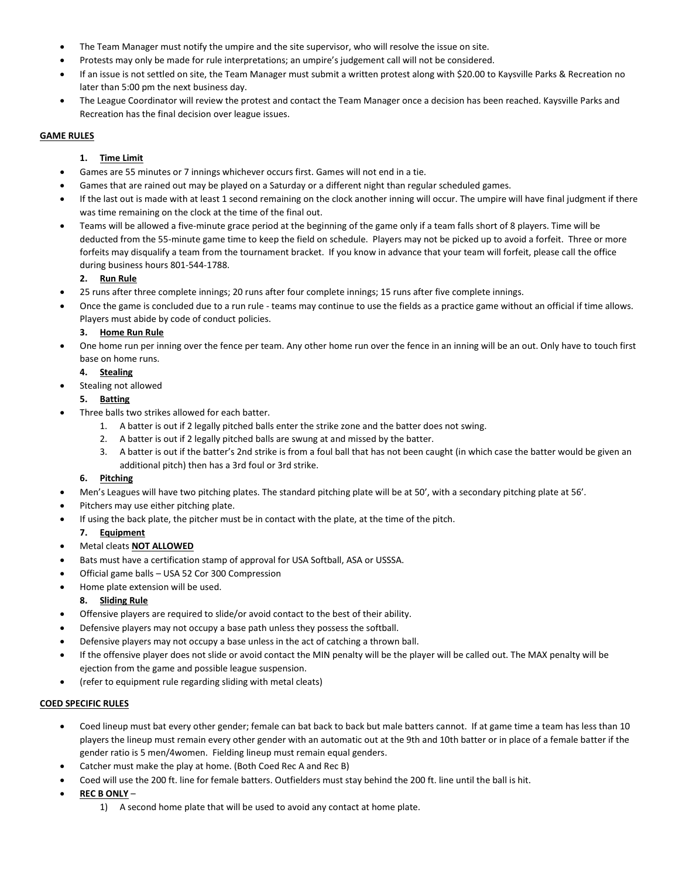- The Team Manager must notify the umpire and the site supervisor, who will resolve the issue on site.
- Protests may only be made for rule interpretations; an umpire's judgement call will not be considered.
- If an issue is not settled on site, the Team Manager must submit a written protest along with \$20.00 to Kaysville Parks & Recreation no later than 5:00 pm the next business day.
- The League Coordinator will review the protest and contact the Team Manager once a decision has been reached. Kaysville Parks and Recreation has the final decision over league issues.

# **GAME RULES**

# **1. Time Limit**

- Games are 55 minutes or 7 innings whichever occurs first. Games will not end in a tie.
- Games that are rained out may be played on a Saturday or a different night than regular scheduled games.
- If the last out is made with at least 1 second remaining on the clock another inning will occur. The umpire will have final judgment if there was time remaining on the clock at the time of the final out.
- Teams will be allowed a five-minute grace period at the beginning of the game only if a team falls short of 8 players. Time will be deducted from the 55-minute game time to keep the field on schedule. Players may not be picked up to avoid a forfeit. Three or more forfeits may disqualify a team from the tournament bracket. If you know in advance that your team will forfeit, please call the office during business hours 801-544-1788.

## **2. Run Rule**

- 25 runs after three complete innings; 20 runs after four complete innings; 15 runs after five complete innings.
- Once the game is concluded due to a run rule teams may continue to use the fields as a practice game without an official if time allows. Players must abide by code of conduct policies.

## **3. Home Run Rule**

 One home run per inning over the fence per team. Any other home run over the fence in an inning will be an out. Only have to touch first base on home runs.

## **4. Stealing**

Stealing not allowed

## **5. Batting**

- Three balls two strikes allowed for each batter.
	- 1. A batter is out if 2 legally pitched balls enter the strike zone and the batter does not swing.
	- 2. A batter is out if 2 legally pitched balls are swung at and missed by the batter.
	- 3. A batter is out if the batter's 2nd strike is from a foul ball that has not been caught (in which case the batter would be given an additional pitch) then has a 3rd foul or 3rd strike.

## **6. Pitching**

- Men's Leagues will have two pitching plates. The standard pitching plate will be at 50', with a secondary pitching plate at 56'.
- Pitchers may use either pitching plate.
- If using the back plate, the pitcher must be in contact with the plate, at the time of the pitch.

# **7. Equipment**

## Metal cleats **NOT ALLOWED**

- Bats must have a certification stamp of approval for USA Softball, ASA or USSSA.
- Official game balls USA 52 Cor 300 Compression
- Home plate extension will be used.

## **8. Sliding Rule**

- Offensive players are required to slide/or avoid contact to the best of their ability.
- Defensive players may not occupy a base path unless they possess the softball.
- Defensive players may not occupy a base unless in the act of catching a thrown ball.
- If the offensive player does not slide or avoid contact the MIN penalty will be the player will be called out. The MAX penalty will be ejection from the game and possible league suspension.
- (refer to equipment rule regarding sliding with metal cleats)

## **COED SPECIFIC RULES**

- Coed lineup must bat every other gender; female can bat back to back but male batters cannot. If at game time a team has less than 10 players the lineup must remain every other gender with an automatic out at the 9th and 10th batter or in place of a female batter if the gender ratio is 5 men/4women. Fielding lineup must remain equal genders.
- Catcher must make the play at home. (Both Coed Rec A and Rec B)
- Coed will use the 200 ft. line for female batters. Outfielders must stay behind the 200 ft. line until the ball is hit.
- **REC B ONLY**
	- 1) A second home plate that will be used to avoid any contact at home plate.